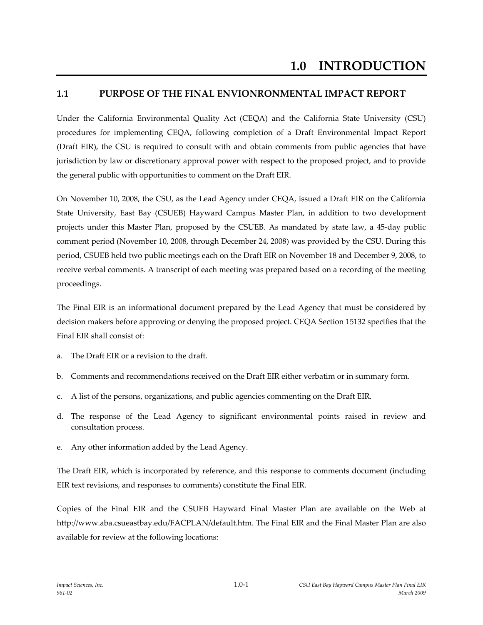## **1.1 PURPOSE OF THE FINAL ENVIONRONMENTAL IMPACT REPORT**

Under the California Environmental Quality Act (CEQA) and the California State University (CSU) procedures for implementing CEQA, following completion of a Draft Environmental Impact Report (Draft EIR), the CSU is required to consult with and obtain comments from public agencies that have jurisdiction by law or discretionary approval power with respect to the proposed project, and to provide the general public with opportunities to comment on the Draft EIR.

On November 10, 2008, the CSU, as the Lead Agency under CEQA, issued a Draft EIR on the California State University, East Bay (CSUEB) Hayward Campus Master Plan, in addition to two development projects under this Master Plan, proposed by the CSUEB. As mandated by state law, a 45‐day public comment period (November 10, 2008, through December 24, 2008) was provided by the CSU. During this period, CSUEB held two public meetings each on the Draft EIR on November 18 and December 9, 2008, to receive verbal comments. A transcript of each meeting was prepared based on a recording of the meeting proceedings.

The Final EIR is an informational document prepared by the Lead Agency that must be considered by decision makers before approving or denying the proposed project. CEQA Section 15132 specifies that the Final EIR shall consist of:

- a. The Draft EIR or a revision to the draft.
- b. Comments and recommendations received on the Draft EIR either verbatim or in summary form.
- c. A list of the persons, organizations, and public agencies commenting on the Draft EIR.
- d. The response of the Lead Agency to significant environmental points raised in review and consultation process.
- e. Any other information added by the Lead Agency.

The Draft EIR, which is incorporated by reference, and this response to comments document (including EIR text revisions, and responses to comments) constitute the Final EIR.

Copies of the Final EIR and the CSUEB Hayward Final Master Plan are available on the Web at http://www.aba.csueastbay.edu/FACPLAN/default.htm. The Final EIR and the Final Master Plan are also available for review at the following locations: